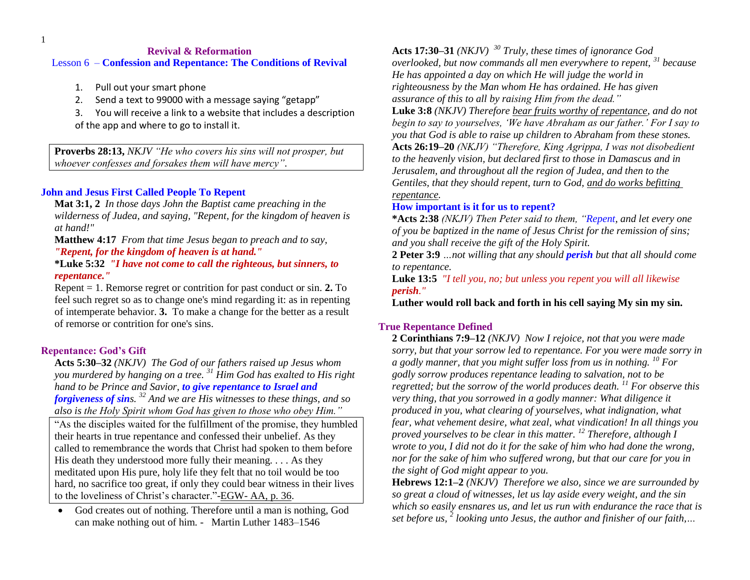1

### **Revival & Reformation** Lesson 6 – **Confession and Repentance: The Conditions of Revival**

- 1. Pull out your smart phone
- 2. Send a text to 99000 with a message saying "getapp"
- 3. You will receive a link to a website that includes a description of the app and where to go to install it.

**Proverbs 28:13,** *NKJV "He who covers his sins will not prosper, but whoever confesses and forsakes them will have mercy"*.

# **John and Jesus First Called People To Repent**

**Mat 3:1, 2** *In those days John the Baptist came preaching in the wilderness of Judea, and saying, "Repent, for the kingdom of heaven is at hand!"*

**Matthew 4:17** *From that time Jesus began to preach and to say,* 

### *"Repent, for the kingdom of heaven is at hand."*

**\*Luke 5:32** *"I have not come to call the righteous, but sinners, to repentance."*

Repent = 1. Remorse regret or contrition for past conduct or sin. **2.** To feel such regret so as to change one's mind regarding it: as in repenting of intemperate behavior. **3.** To make a change for the better as a result of remorse or contrition for one's sins.

# **Repentance: God's Gift**

**Acts 5:30–32** *(NKJV) The God of our fathers raised up Jesus whom you murdered by hanging on a tree. <sup>31</sup> Him God has exalted to His right hand to be Prince and Savior, to give repentance to Israel and forgiveness of sins. <sup>32</sup> And we are His witnesses to these things, and so also is the Holy Spirit whom God has given to those who obey Him."*

"As the disciples waited for the fulfillment of the promise, they humbled their hearts in true repentance and confessed their unbelief. As they called to remembrance the words that Christ had spoken to them before His death they understood more fully their meaning. . . . As they meditated upon His pure, holy life they felt that no toil would be too hard, no sacrifice too great, if only they could bear witness in their lives to the loveliness of Christ's character."-EGW- AA, p. 36.

 God creates out of nothing. Therefore until a man is nothing, God can make nothing out of him. - Martin Luther 1483–1546

**Acts 17:30–31** *(NKJV) <sup>30</sup> Truly, these times of ignorance God overlooked, but now commands all men everywhere to repent, <sup>31</sup> because He has appointed a day on which He will judge the world in righteousness by the Man whom He has ordained. He has given assurance of this to all by raising Him from the dead."*

**Luke 3:8** *(NKJV) Therefore bear fruits worthy of repentance, and do not begin to say to yourselves, "We have Abraham as our father." For I say to you that God is able to raise up children to Abraham from these stones.*  **Acts 26:19–20** *(NKJV) "Therefore, King Agrippa, I was not disobedient to the heavenly vision, but declared first to those in Damascus and in Jerusalem, and throughout all the region of Judea, and then to the Gentiles, that they should repent, turn to God, and do works befitting repentance.*

# **How important is it for us to repent?**

**\*Acts 2:38** *(NKJV) Then Peter said to them, "Repent, and let every one of you be baptized in the name of Jesus Christ for the remission of sins; and you shall receive the gift of the Holy Spirit.* 

**2 Peter 3:9** *…not willing that any should perish but that all should come to repentance.* 

**Luke 13:5** *"I tell you, no; but unless you repent you will all likewise perish."*

**Luther would roll back and forth in his cell saying My sin my sin.** 

# **True Repentance Defined**

**2 Corinthians 7:9–12** *(NKJV) Now I rejoice, not that you were made sorry, but that your sorrow led to repentance. For you were made sorry in a godly manner, that you might suffer loss from us in nothing. <sup>10</sup> For godly sorrow produces repentance leading to salvation, not to be regretted; but the sorrow of the world produces death. <sup>11</sup> For observe this very thing, that you sorrowed in a godly manner: What diligence it produced in you, what clearing of yourselves, what indignation, what fear, what vehement desire, what zeal, what vindication! In all things you proved yourselves to be clear in this matter. <sup>12</sup> Therefore, although I wrote to you, I did not do it for the sake of him who had done the wrong, nor for the sake of him who suffered wrong, but that our care for you in the sight of God might appear to you.* 

**Hebrews 12:1–2** *(NKJV) Therefore we also, since we are surrounded by so great a cloud of witnesses, let us lay aside every weight, and the sin which so easily ensnares us, and let us run with endurance the race that is set before us, <sup>2</sup> looking unto Jesus, the author and finisher of our faith,…*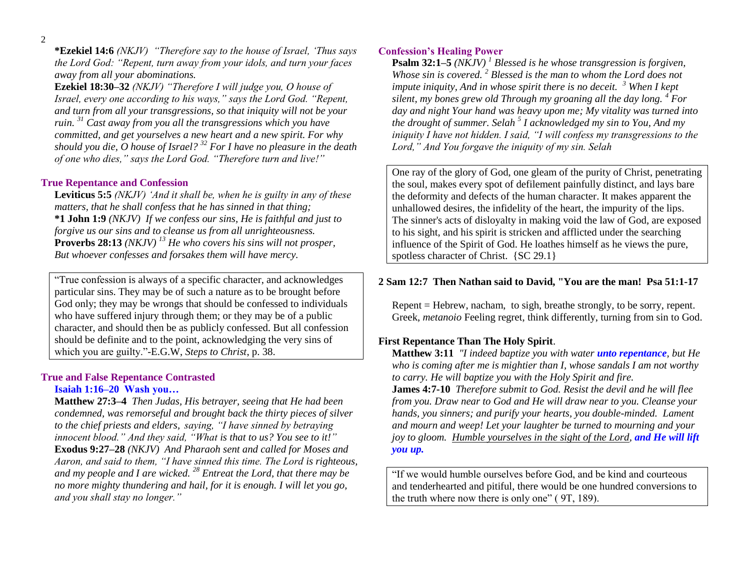**\*Ezekiel 14:6** *(NKJV) "Therefore say to the house of Israel, "Thus says the Lord God: "Repent, turn away from your idols, and turn your faces away from all your abominations.* 

**Ezekiel 18:30–32** *(NKJV) "Therefore I will judge you, O house of Israel, every one according to his ways," says the Lord God. "Repent, and turn from all your transgressions, so that iniquity will not be your ruin. <sup>31</sup> Cast away from you all the transgressions which you have committed, and get yourselves a new heart and a new spirit. For why should you die, O house of Israel? <sup>32</sup> For I have no pleasure in the death of one who dies," says the Lord God. "Therefore turn and live!"* 

#### **True Repentance and Confession**

**Leviticus 5:5** *(NKJV) "And it shall be, when he is guilty in any of these matters, that he shall confess that he has sinned in that thing;*  **\*1 John 1:9** *(NKJV) If we confess our sins, He is faithful and just to forgive us our sins and to cleanse us from all unrighteousness.* **Proverbs 28:13** *(NKJV) <sup>13</sup> He who covers his sins will not prosper, But whoever confesses and forsakes them will have mercy.* 

"True confession is always of a specific character, and acknowledges particular sins. They may be of such a nature as to be brought before God only; they may be wrongs that should be confessed to individuals who have suffered injury through them; or they may be of a public character, and should then be as publicly confessed. But all confession should be definite and to the point, acknowledging the very sins of which you are guilty."-E.G.W, *Steps to Christ*, p. 38.

#### **True and False Repentance Contrasted Isaiah 1:16–20 Wash you…**

**Matthew 27:3–4** *Then Judas, His betrayer, seeing that He had been condemned, was remorseful and brought back the thirty pieces of silver to the chief priests and elders, saying, "I have sinned by betraying innocent blood." And they said, "What is that to us? You see to it!"*  **Exodus 9:27–28** *(NKJV) And Pharaoh sent and called for Moses and Aaron, and said to them, "I have sinned this time. The Lord is righteous, and my people and I are wicked. <sup>28</sup> Entreat the Lord, that there may be no more mighty thundering and hail, for it is enough. I will let you go, and you shall stay no longer."*

### **Confession's Healing Power**

**Psalm 32:1–5** *(NKJV) <sup>1</sup> Blessed is he whose transgression is forgiven, Whose sin is covered. <sup>2</sup> Blessed is the man to whom the Lord does not impute iniquity, And in whose spirit there is no deceit. <sup>3</sup> When I kept silent, my bones grew old Through my groaning all the day long. <sup>4</sup> For day and night Your hand was heavy upon me; My vitality was turned into the drought of summer. Selah <sup>5</sup> I acknowledged my sin to You, And my iniquity I have not hidden. I said, "I will confess my transgressions to the Lord," And You forgave the iniquity of my sin. Selah* 

One ray of the glory of God, one gleam of the purity of Christ, penetrating the soul, makes every spot of defilement painfully distinct, and lays bare the deformity and defects of the human character. It makes apparent the unhallowed desires, the infidelity of the heart, the impurity of the lips. The sinner's acts of disloyalty in making void the law of God, are exposed to his sight, and his spirit is stricken and afflicted under the searching influence of the Spirit of God. He loathes himself as he views the pure, spotless character of Christ. {SC 29.1}

### **2 Sam 12:7 Then Nathan said to David, "You are the man! Psa 51:1-17**

Repent = Hebrew, nacham, to sigh, breathe strongly, to be sorry, repent. Greek, *metanoio* Feeling regret, think differently, turning from sin to God.

### **First Repentance Than The Holy Spirit**.

**Matthew 3:11** *"I indeed baptize you with water unto repentance, but He who is coming after me is mightier than I, whose sandals I am not worthy to carry. He will baptize you with the Holy Spirit and fire.*

**James 4:7-10** *Therefore submit to God. Resist the devil and he will flee from you. Draw near to God and He will draw near to you. Cleanse your hands, you sinners; and purify your hearts, you double-minded. Lament and mourn and weep! Let your laughter be turned to mourning and your joy to gloom. Humble yourselves in the sight of the Lord, and He will lift you up.*

"If we would humble ourselves before God, and be kind and courteous and tenderhearted and pitiful, there would be one hundred conversions to the truth where now there is only one" ( 9T, 189).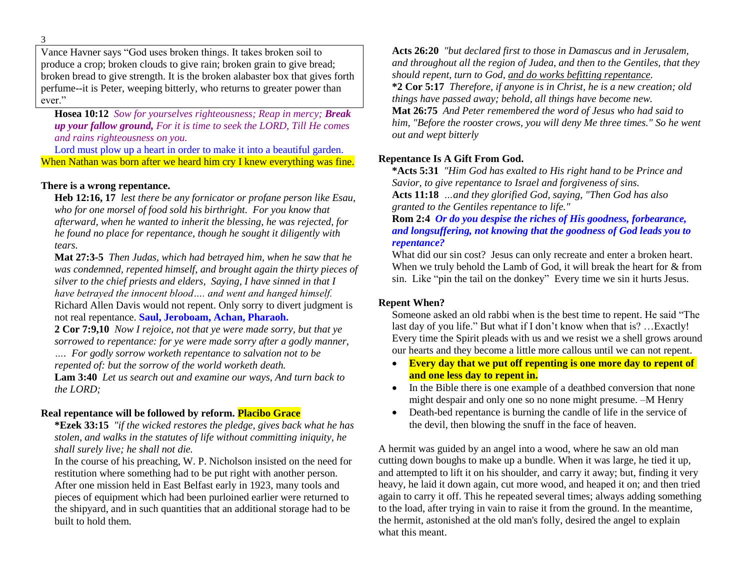Vance Havner says "God uses broken things. It takes broken soil to produce a crop; broken clouds to give rain; broken grain to give bread; broken bread to give strength. It is the broken alabaster box that gives forth perfume--it is Peter, weeping bitterly, who returns to greater power than ever."

**Hosea 10:12** *Sow for yourselves righteousness; Reap in mercy; Break up your fallow ground, For it is time to seek the LORD, Till He comes and rains righteousness on you.*

Lord must plow up a heart in order to make it into a beautiful garden. When Nathan was born after we heard him cry I knew everything was fine.

### **There is a wrong repentance.**

**Heb 12:16, 17** *lest there be any fornicator or profane person like Esau, who for one morsel of food sold his birthright. For you know that afterward, when he wanted to inherit the blessing, he was rejected, for he found no place for repentance, though he sought it diligently with tears.*

**Mat 27:3-5** *Then Judas, which had betrayed him, when he saw that he was condemned, repented himself, and brought again the thirty pieces of silver to the chief priests and elders, Saying, I have sinned in that I have betrayed the innocent blood…. and went and hanged himself.* Richard Allen Davis would not repent. Only sorry to divert judgment is not real repentance. **Saul, Jeroboam, Achan, Pharaoh.**

**2 Cor 7:9,10** *Now I rejoice, not that ye were made sorry, but that ye sorrowed to repentance: for ye were made sorry after a godly manner, …. For godly sorrow worketh repentance to salvation not to be* 

*repented of: but the sorrow of the world worketh death.*

**Lam 3:40** *Let us search out and examine our ways, And turn back to the LORD;*

# **Real repentance will be followed by reform. Placibo Grace**

**\*Ezek 33:15** *"if the wicked restores the pledge, gives back what he has stolen, and walks in the statutes of life without committing iniquity, he shall surely live; he shall not die.*

In the course of his preaching, W. P. Nicholson insisted on the need for restitution where something had to be put right with another person. After one mission held in East Belfast early in 1923, many tools and pieces of equipment which had been purloined earlier were returned to the shipyard, and in such quantities that an additional storage had to be built to hold them.

**Acts 26:20** *"but declared first to those in Damascus and in Jerusalem, and throughout all the region of Judea, and then to the Gentiles, that they should repent, turn to God, and do works befitting repentance.* **\*2 Cor 5:17** *Therefore, if anyone is in Christ, he is a new creation; old things have passed away; behold, all things have become new.* **Mat 26:75** *And Peter remembered the word of Jesus who had said to him, "Before the rooster crows, you will deny Me three times." So he went out and wept bitterly*

### **Repentance Is A Gift From God.**

**\*Acts 5:31** *"Him God has exalted to His right hand to be Prince and Savior, to give repentance to Israel and forgiveness of sins.* **Acts 11:18** *…and they glorified God, saying, "Then God has also granted to the Gentiles repentance to life."*

**Rom 2:4** *Or do you despise the riches of His goodness, forbearance, and longsuffering, not knowing that the goodness of God leads you to repentance?*

What did our sin cost? Jesus can only recreate and enter a broken heart. When we truly behold the Lamb of God, it will break the heart for  $&$  from sin. Like "pin the tail on the donkey" Every time we sin it hurts Jesus.

# **Repent When?**

Someone asked an old rabbi when is the best time to repent. He said "The last day of you life." But what if I don't know when that is? …Exactly! Every time the Spirit pleads with us and we resist we a shell grows around our hearts and they become a little more callous until we can not repent.

- **Every day that we put off repenting is one more day to repent of and one less day to repent in.**
- In the Bible there is one example of a deathbed conversion that none might despair and only one so no none might presume. –M Henry
- Death-bed repentance is burning the candle of life in the service of the devil, then blowing the snuff in the face of heaven.

A hermit was guided by an angel into a wood, where he saw an old man cutting down boughs to make up a bundle. When it was large, he tied it up, and attempted to lift it on his shoulder, and carry it away; but, finding it very heavy, he laid it down again, cut more wood, and heaped it on; and then tried again to carry it off. This he repeated several times; always adding something to the load, after trying in vain to raise it from the ground. In the meantime, the hermit, astonished at the old man's folly, desired the angel to explain what this meant.

3